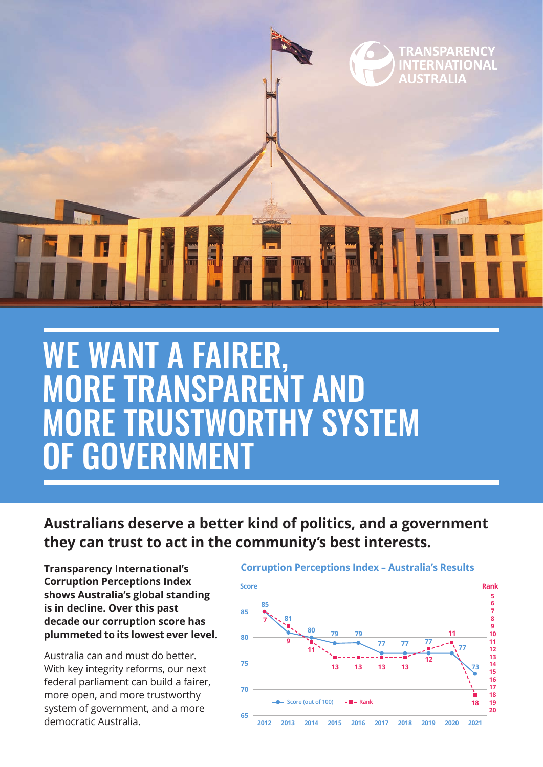

## WE WANT A FAIRER, MORE TRANSPARENT AND MORE TRUSTWORTHY SYSTEM OF GOVERNMENT

**Australians deserve a better kind of politics, and a government they can trust to act in the community's best interests.**

**Transparency International's Corruption Perceptions Index shows Australia's global standing is in decline. Over this past decade our corruption score has plummeted to its lowest ever level.**

Australia can and must do better. With key integrity reforms, our next federal parliament can build a fairer, more open, and more trustworthy system of government, and a more democratic Australia.

### **Corruption Perceptions Index – Australia's Results**